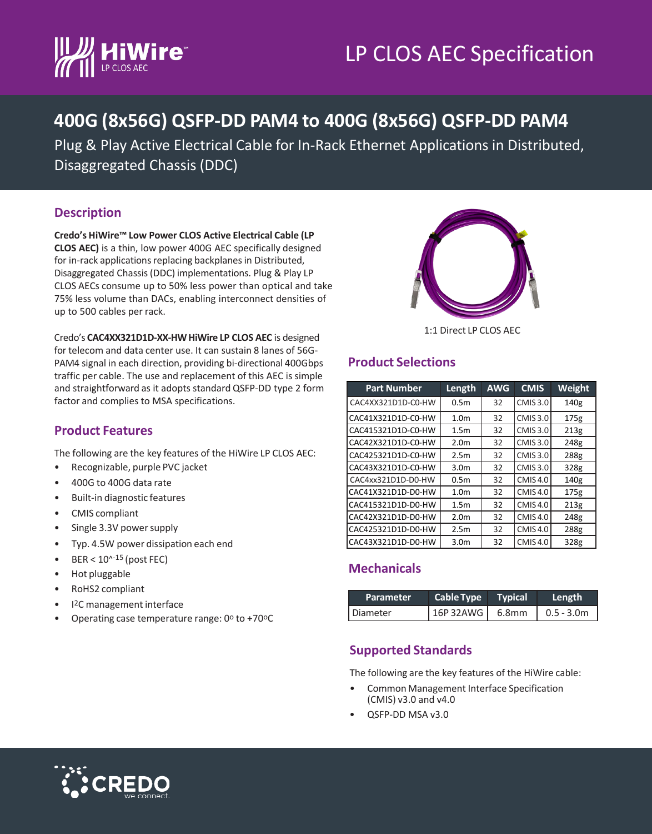# LP CLOS AEC Specification



# **400G (8x56G) QSFP-DD PAM4 to 400G (8x56G) QSFP-DD PAM4**

Plug & Play Active Electrical Cable for In-Rack Ethernet Applications in Distributed, Disaggregated Chassis (DDC)

### **Description**

**Credo's HiWire™ Low Power CLOS Active Electrical Cable (LP CLOS AEC)** is a thin, low power 400G AEC specifically designed for in-rack applications replacing backplanes in Distributed, Disaggregated Chassis (DDC) implementations. Plug & Play LP CLOS AECs consume up to 50% less power than optical and take 75% less volume than DACs, enabling interconnect densities of up to 500 cables per rack.



Credo's **CAC4XX321D1D-XX-HW HiWire LP CLOS AEC** is designed for telecom and data center use. It can sustain 8 lanes of 56G-PAM4 signal in each direction, providing bi-directional 400Gbps traffic per cable. The use and replacement of this AEC is simple and straightforward as it adopts standard QSFP-DD type 2 form factor and complies to MSA specifications.

#### **Product Features**

The following are the key features of the HiWire LP CLOS AEC:

- Recognizable, purple PVC jacket
- 400G to 400G data rate
- Built-in diagnostic features
- CMIS compliant
- Single 3.3V power supply
- Typ. 4.5W power dissipation each end
- BER  $<$  10 $^{\text{A-15}}$  (post FEC)
- Hot pluggable
- RoHS2 compliant
- I2C management interface
- Operating case temperature range:  $0^{\circ}$  to +70 $^{\circ}$ C

#### **Product Selections**

| <b>Part Number</b> | Length           | <b>AWG</b> | <b>CMIS</b>     | Weight |
|--------------------|------------------|------------|-----------------|--------|
| CAC4XX321D1D-C0-HW | 0.5 <sub>m</sub> | 32         | <b>CMIS 3.0</b> | 140g   |
| CAC41X321D1D-C0-HW | 1.0 <sub>m</sub> | 32         | <b>CMIS 3.0</b> | 175g   |
| CAC415321D1D-C0-HW | 1.5 <sub>m</sub> | 32         | <b>CMIS 3.0</b> | 213g   |
| CAC42X321D1D-C0-HW | 2.0 <sub>m</sub> | 32         | <b>CMIS 3.0</b> | 248g   |
| CAC425321D1D-C0-HW | 2.5 <sub>m</sub> | 32         | <b>CMIS 3.0</b> | 288g   |
| CAC43X321D1D-C0-HW | 3.0 <sub>m</sub> | 32         | <b>CMIS 3.0</b> | 328g   |
| CAC4xx321D1D-D0-HW | 0.5 <sub>m</sub> | 32         | <b>CMIS4.0</b>  | 140g   |
| CAC41X321D1D-D0-HW | 1.0 <sub>m</sub> | 32         | <b>CMIS4.0</b>  | 175g   |
| CAC415321D1D-D0-HW | 1.5 <sub>m</sub> | 32         | <b>CMIS4.0</b>  | 213g   |
| CAC42X321D1D-D0-HW | 2.0 <sub>m</sub> | 32         | <b>CMIS4.0</b>  | 248g   |
| CAC425321D1D-D0-HW | 2.5 <sub>m</sub> | 32         | <b>CMIS4.0</b>  | 288g   |
| CAC43X321D1D-D0-HW | 3.0 <sub>m</sub> | 32         | <b>CMIS4.0</b>  | 328g   |

#### **Mechanicals**

| Parameter | Cable Type Typical | Length             |
|-----------|--------------------|--------------------|
| Diameter  | 16P 32AWG 6.8mm    | $\big $ 0.5 - 3.0m |

#### **Supported Standards**

The following are the key features of the HiWire cable:

- Common Management Interface Specification (CMIS) v3.0 and v4.0
- QSFP-DD MSA v3.0